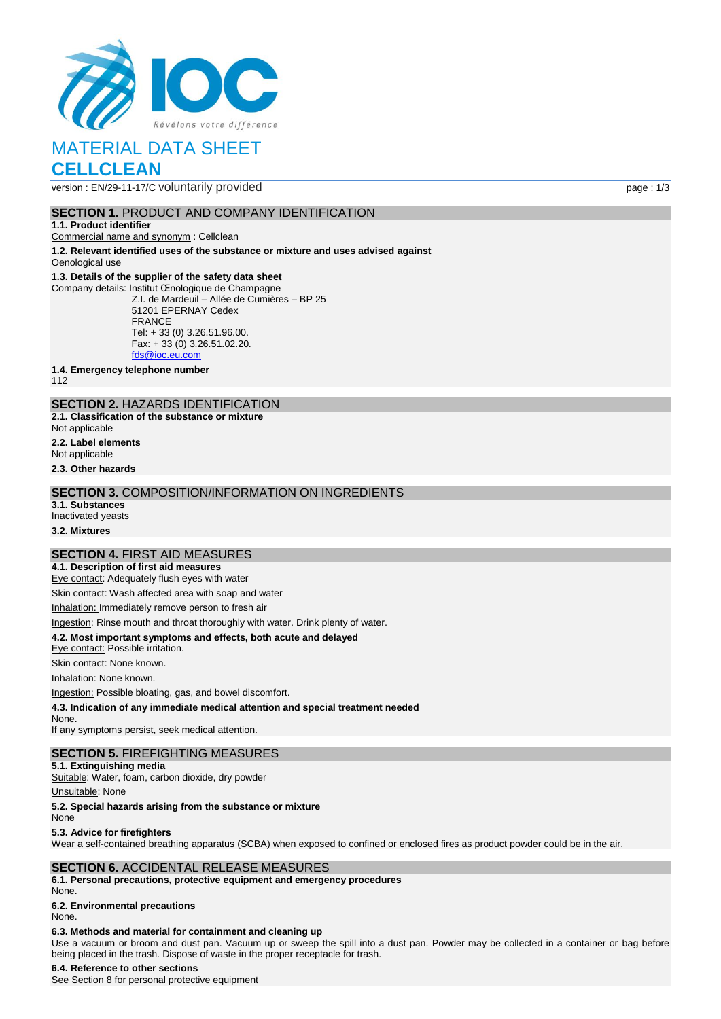

# MATERIAL DATA SHEET

# **CELLCLEAN**

version : EN/29-11-17/C voluntarily provided page : 1/3

#### **SECTION 1.** PRODUCT AND COMPANY IDENTIFICATION

#### **1.1. Product identifier**

Commercial name and synonym : Cellclean

**1.2. Relevant identified uses of the substance or mixture and uses advised against** Oenological use

#### **1.3. Details of the supplier of the safety data sheet**

Company details: Institut Œnologique de Champagne Z.I. de Mardeuil – Allée de Cumières – BP 25 51201 EPERNAY Cedex FRANCE Tel: + 33 (0) 3.26.51.96.00. Fax: + 33 (0) 3.26.51.02.20. [fds@ioc.eu.com](mailto:fds@ioc.eu.com)

**1.4. Emergency telephone number**

112

## **SECTION 2.** HAZARDS IDENTIFICATION

**2.1. Classification of the substance or mixture**

- Not applicable
- **2.2. Label elements**
- Not applicable

**2.3. Other hazards**

#### **SECTION 3.** COMPOSITION/INFORMATION ON INGREDIENTS

**3.1. Substances**

Inactivated yeasts

# **3.2. Mixtures**

#### **SECTION 4.** FIRST AID MEASURES

**4.1. Description of first aid measures** Eye contact: Adequately flush eyes with water

Skin contact: Wash affected area with soap and water

Inhalation: Immediately remove person to fresh air

Ingestion: Rinse mouth and throat thoroughly with water. Drink plenty of water.

#### **4.2. Most important symptoms and effects, both acute and delayed**

Eye contact: Possible irritation.

Skin contact: None known.

Inhalation: None known.

Ingestion: Possible bloating, gas, and bowel discomfort.

**4.3. Indication of any immediate medical attention and special treatment needed**

None.

If any symptoms persist, seek medical attention.

#### **SECTION 5.** FIREFIGHTING MEASURES

**5.1. Extinguishing media** Suitable: Water, foam, carbon dioxide, dry powder

Unsuitable: None

**5.2. Special hazards arising from the substance or mixture**

#### None

**5.3. Advice for firefighters**

Wear a self-contained breathing apparatus (SCBA) when exposed to confined or enclosed fires as product powder could be in the air.

#### **SECTION 6.** ACCIDENTAL RELEASE MEASURES

**6.1. Personal precautions, protective equipment and emergency procedures** None.

### **6.2. Environmental precautions**

None.

### **6.3. Methods and material for containment and cleaning up**

Use a vacuum or broom and dust pan. Vacuum up or sweep the spill into a dust pan. Powder may be collected in a container or bag before being placed in the trash. Dispose of waste in the proper receptacle for trash.

### **6.4. Reference to other sections**

See Section 8 for personal protective equipment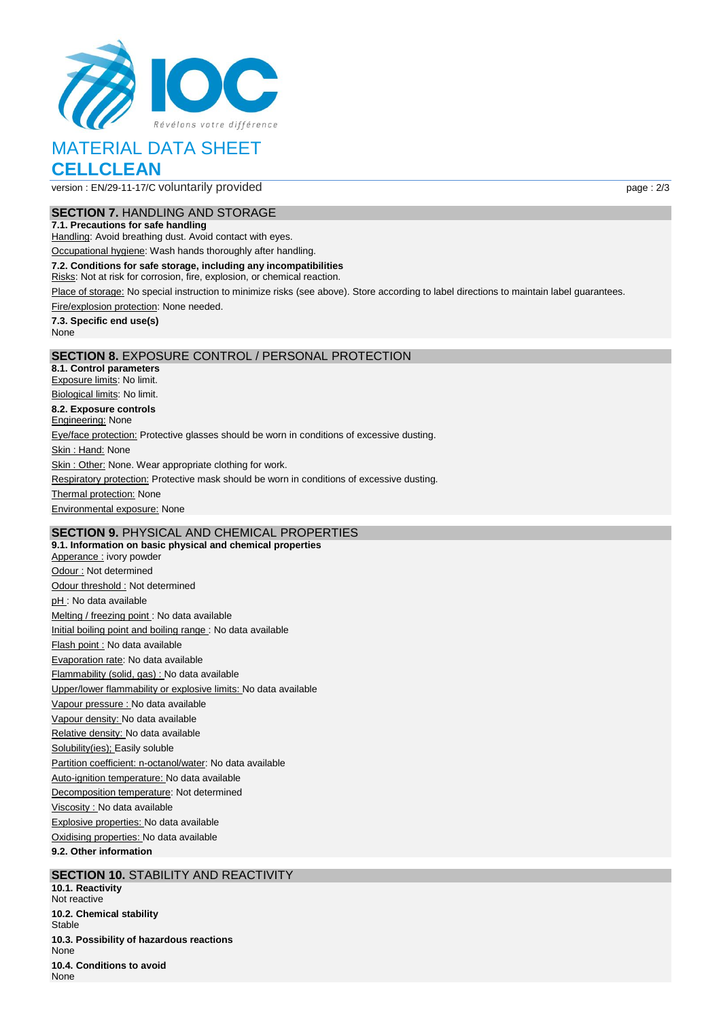

# MATERIAL DATA SHEET **CELLCLEAN**

version : EN/29-11-17/C voluntarily provided page : 2/3

#### **SECTION 7.** HANDLING AND STORAGE

**7.1. Precautions for safe handling**

Handling: Avoid breathing dust. Avoid contact with eyes.

Occupational hygiene: Wash hands thoroughly after handling.

**7.2. Conditions for safe storage, including any incompatibilities**

Risks: Not at risk for corrosion, fire, explosion, or chemical reaction.

Place of storage: No special instruction to minimize risks (see above). Store according to label directions to maintain label guarantees.

Fire/explosion protection: None needed.

**7.3. Specific end use(s)** None

#### **SECTION 8.** EXPOSURE CONTROL / PERSONAL PROTECTION

**8.1. Control parameters** Exposure limits: No limit. Biological limits: No limit. **8.2. Exposure controls Engineering: None** Eye/face protection: Protective glasses should be worn in conditions of excessive dusting. Skin: Hand: None Skin : Other: None. Wear appropriate clothing for work. Respiratory protection: Protective mask should be worn in conditions of excessive dusting. **Thermal protection: None** Environmental exposure: None

# **SECTION 9.** PHYSICAL AND CHEMICAL PROPERTIES

**9.1. Information on basic physical and chemical properties** Apperance : ivory powder Odour : Not determined Odour threshold : Not determined pH : No data available Melting / freezing point : No data available Initial boiling point and boiling range : No data available Flash point : No data available Evaporation rate: No data available Flammability (solid, gas) : No data available Upper/lower flammability or explosive limits: No data available Vapour pressure : No data available Vapour density: No data available Relative density: No data available Solubility(ies); Easily soluble Partition coefficient: n-octanol/water: No data available Auto-ignition temperature: No data available Decomposition temperature: Not determined Viscosity : No data available Explosive properties: No data available Oxidising properties: No data available **9.2. Other information**

### **SECTION 10.** STABILITY AND REACTIVITY

**10.1. Reactivity** Not reactive **10.2. Chemical stability Stable 10.3. Possibility of hazardous reactions** None **10.4. Conditions to avoid** None